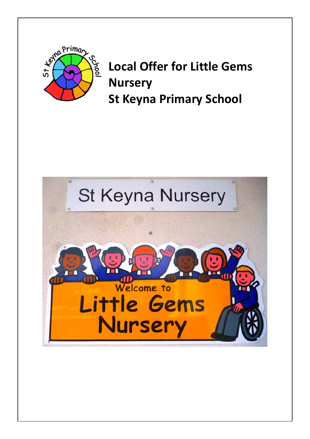

**Local Offer for Little Gems Nursery St Keyna Primary School** 

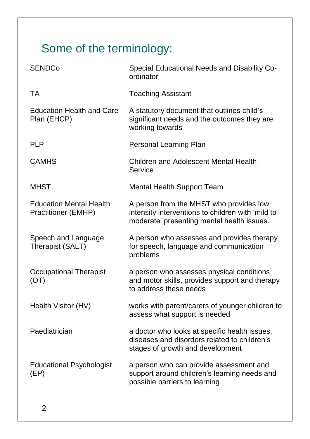# Some of the terminology:

| <b>SENDCo</b>                                         | Special Educational Needs and Disability Co-<br>ordinator                                                                                  |
|-------------------------------------------------------|--------------------------------------------------------------------------------------------------------------------------------------------|
| TA                                                    | <b>Teaching Assistant</b>                                                                                                                  |
| <b>Education Health and Care</b><br>Plan (EHCP)       | A statutory document that outlines child's<br>significant needs and the outcomes they are<br>working towards                               |
| <b>PLP</b>                                            | Personal Learning Plan                                                                                                                     |
| <b>CAMHS</b>                                          | <b>Children and Adolescent Mental Health</b><br>Service                                                                                    |
| <b>MHST</b>                                           | Mental Health Support Team                                                                                                                 |
| <b>Education Mental Health</b><br>Practitioner (EMHP) | A person from the MHST who provides low<br>intensity interventions to children with 'mild to<br>moderate' presenting mental health issues. |
| Speech and Language<br>Therapist (SALT)               | A person who assesses and provides therapy<br>for speech, language and communication<br>problems                                           |
| <b>Occupational Therapist</b><br>(OT)                 | a person who assesses physical conditions<br>and motor skills, provides support and therapy<br>to address these needs                      |
| Health Visitor (HV)                                   | works with parent/carers of younger children to<br>assess what support is needed                                                           |
| Paediatrician                                         | a doctor who looks at specific health issues,<br>diseases and disorders related to children's<br>stages of growth and development          |
| <b>Educational Psychologist</b><br>(EP)               | a person who can provide assessment and<br>support around children's learning needs and<br>possible barriers to learning                   |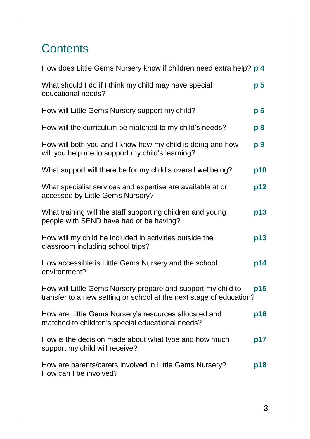# **Contents**

| How does Little Gems Nursery know if children need extra help? p 4                                                                  |                |
|-------------------------------------------------------------------------------------------------------------------------------------|----------------|
| What should I do if I think my child may have special<br>educational needs?                                                         | p <sub>5</sub> |
| How will Little Gems Nursery support my child?                                                                                      | $p_{0}$        |
| How will the curriculum be matched to my child's needs?                                                                             | p8             |
| How will both you and I know how my child is doing and how<br>will you help me to support my child's learning?                      | p 9            |
| What support will there be for my child's overall wellbeing?                                                                        | p10            |
| What specialist services and expertise are available at or<br>accessed by Little Gems Nursery?                                      | p12            |
| What training will the staff supporting children and young<br>people with SEND have had or be having?                               | p13            |
| How will my child be included in activities outside the<br>classroom including school trips?                                        | p13            |
| How accessible is Little Gems Nursery and the school<br>environment?                                                                | p14            |
| How will Little Gems Nursery prepare and support my child to<br>transfer to a new setting or school at the next stage of education? | p15            |
| How are Little Gems Nursery's resources allocated and<br>matched to children's special educational needs?                           | p16            |
| How is the decision made about what type and how much<br>support my child will receive?                                             | p17            |
| How are parents/carers involved in Little Gems Nursery?<br>How can I be involved?                                                   | p18            |
|                                                                                                                                     |                |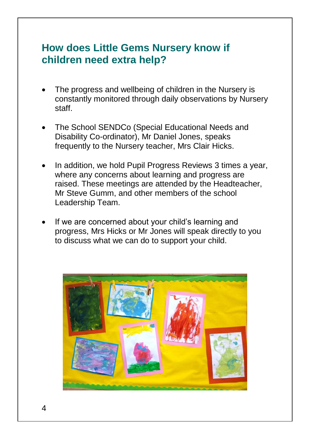#### **How does Little Gems Nursery know if children need extra help?**

- The progress and wellbeing of children in the Nursery is constantly monitored through daily observations by Nursery staff.
- The School SENDCo (Special Educational Needs and Disability Co-ordinator), Mr Daniel Jones, speaks frequently to the Nursery teacher, Mrs Clair Hicks.
- In addition, we hold Pupil Progress Reviews 3 times a year, where any concerns about learning and progress are raised. These meetings are attended by the Headteacher, Mr Steve Gumm, and other members of the school Leadership Team.
- If we are concerned about your child's learning and progress, Mrs Hicks or Mr Jones will speak directly to you to discuss what we can do to support your child.

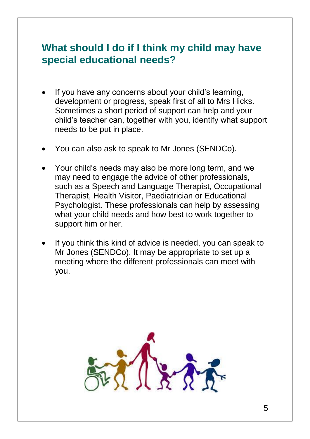#### **What should I do if I think my child may have special educational needs?**

- If you have any concerns about your child's learning, development or progress, speak first of all to Mrs Hicks. Sometimes a short period of support can help and your child's teacher can, together with you, identify what support needs to be put in place.
- You can also ask to speak to Mr Jones (SENDCo).
- Your child's needs may also be more long term, and we may need to engage the advice of other professionals, such as a Speech and Language Therapist, Occupational Therapist, Health Visitor, Paediatrician or Educational Psychologist. These professionals can help by assessing what your child needs and how best to work together to support him or her.
- If you think this kind of advice is needed, you can speak to Mr Jones (SENDCo). It may be appropriate to set up a meeting where the different professionals can meet with you.

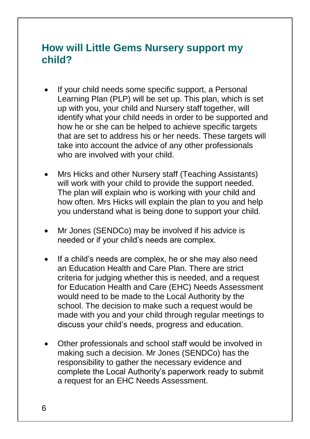### **How will Little Gems Nursery support my child?**

- If your child needs some specific support, a Personal Learning Plan (PLP) will be set up. This plan, which is set up with you, your child and Nursery staff together, will identify what your child needs in order to be supported and how he or she can be helped to achieve specific targets that are set to address his or her needs. These targets will take into account the advice of any other professionals who are involved with your child.
- Mrs Hicks and other Nursery staff (Teaching Assistants) will work with your child to provide the support needed. The plan will explain who is working with your child and how often. Mrs Hicks will explain the plan to you and help you understand what is being done to support your child.
- Mr Jones (SENDCo) may be involved if his advice is needed or if your child's needs are complex.
- If a child's needs are complex, he or she may also need an Education Health and Care Plan. There are strict criteria for judging whether this is needed, and a request for Education Health and Care (EHC) Needs Assessment would need to be made to the Local Authority by the school. The decision to make such a request would be made with you and your child through regular meetings to discuss your child's needs, progress and education.
- Other professionals and school staff would be involved in making such a decision. Mr Jones (SENDCo) has the responsibility to gather the necessary evidence and complete the Local Authority's paperwork ready to submit a request for an EHC Needs Assessment.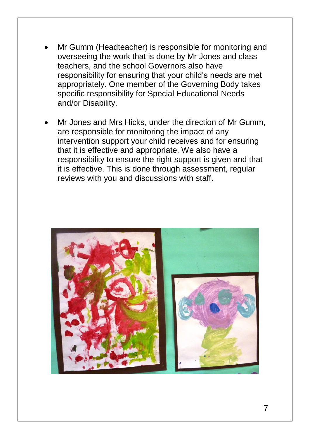- Mr Gumm (Headteacher) is responsible for monitoring and overseeing the work that is done by Mr Jones and class teachers, and the school Governors also have responsibility for ensuring that your child's needs are met appropriately. One member of the Governing Body takes specific responsibility for Special Educational Needs and/or Disability.
- Mr Jones and Mrs Hicks, under the direction of Mr Gumm, are responsible for monitoring the impact of any intervention support your child receives and for ensuring that it is effective and appropriate. We also have a responsibility to ensure the right support is given and that it is effective. This is done through assessment, regular reviews with you and discussions with staff.

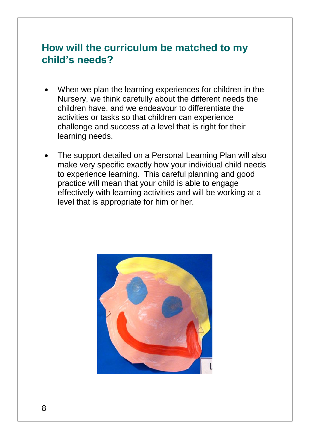# **How will the curriculum be matched to my child's needs?**

- When we plan the learning experiences for children in the Nursery, we think carefully about the different needs the children have, and we endeavour to differentiate the activities or tasks so that children can experience challenge and success at a level that is right for their learning needs.
- The support detailed on a Personal Learning Plan will also make very specific exactly how your individual child needs to experience learning. This careful planning and good practice will mean that your child is able to engage effectively with learning activities and will be working at a level that is appropriate for him or her.

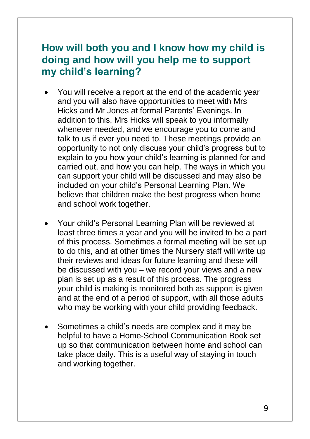# **How will both you and I know how my child is doing and how will you help me to support my child's learning?**

- You will receive a report at the end of the academic year and you will also have opportunities to meet with Mrs Hicks and Mr Jones at formal Parents' Evenings. In addition to this, Mrs Hicks will speak to you informally whenever needed, and we encourage you to come and talk to us if ever you need to. These meetings provide an opportunity to not only discuss your child's progress but to explain to you how your child's learning is planned for and carried out, and how you can help. The ways in which you can support your child will be discussed and may also be included on your child's Personal Learning Plan. We believe that children make the best progress when home and school work together.
- Your child's Personal Learning Plan will be reviewed at least three times a year and you will be invited to be a part of this process. Sometimes a formal meeting will be set up to do this, and at other times the Nursery staff will write up their reviews and ideas for future learning and these will be discussed with you – we record your views and a new plan is set up as a result of this process. The progress your child is making is monitored both as support is given and at the end of a period of support, with all those adults who may be working with your child providing feedback.
- Sometimes a child's needs are complex and it may be helpful to have a Home-School Communication Book set up so that communication between home and school can take place daily. This is a useful way of staying in touch and working together.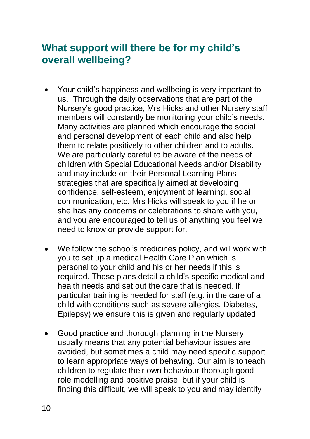#### **What support will there be for my child's overall wellbeing?**

- Your child's happiness and wellbeing is very important to us. Through the daily observations that are part of the Nursery's good practice, Mrs Hicks and other Nursery staff members will constantly be monitoring your child's needs. Many activities are planned which encourage the social and personal development of each child and also help them to relate positively to other children and to adults. We are particularly careful to be aware of the needs of children with Special Educational Needs and/or Disability and may include on their Personal Learning Plans strategies that are specifically aimed at developing confidence, self-esteem, enjoyment of learning, social communication, etc. Mrs Hicks will speak to you if he or she has any concerns or celebrations to share with you, and you are encouraged to tell us of anything you feel we need to know or provide support for.
- We follow the school's medicines policy, and will work with you to set up a medical Health Care Plan which is personal to your child and his or her needs if this is required. These plans detail a child's specific medical and health needs and set out the care that is needed. If particular training is needed for staff (e.g. in the care of a child with conditions such as severe allergies, Diabetes, Epilepsy) we ensure this is given and regularly updated.
- Good practice and thorough planning in the Nursery usually means that any potential behaviour issues are avoided, but sometimes a child may need specific support to learn appropriate ways of behaving. Our aim is to teach children to regulate their own behaviour thorough good role modelling and positive praise, but if your child is finding this difficult, we will speak to you and may identify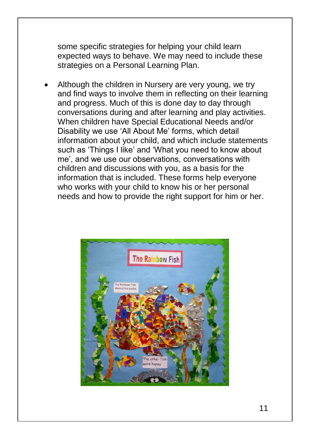some specific strategies for helping your child learn expected ways to behave. We may need to include these strategies on a Personal Learning Plan.

 Although the children in Nursery are very young, we try and find ways to involve them in reflecting on their learning and progress. Much of this is done day to day through conversations during and after learning and play activities. When children have Special Educational Needs and/or Disability we use 'All About Me' forms, which detail information about your child, and which include statements such as 'Things I like' and 'What you need to know about me', and we use our observations, conversations with children and discussions with you, as a basis for the information that is included. These forms help everyone who works with your child to know his or her personal needs and how to provide the right support for him or her.

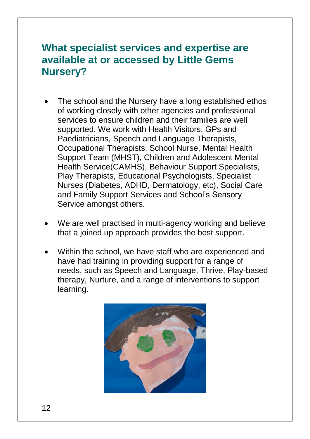#### **What specialist services and expertise are available at or accessed by Little Gems Nursery?**

- The school and the Nursery have a long established ethos of working closely with other agencies and professional services to ensure children and their families are well supported. We work with Health Visitors, GPs and Paediatricians, Speech and Language Therapists, Occupational Therapists, School Nurse, Mental Health Support Team (MHST), Children and Adolescent Mental Health Service(CAMHS), Behaviour Support Specialists, Play Therapists, Educational Psychologists, Specialist Nurses (Diabetes, ADHD, Dermatology, etc), Social Care and Family Support Services and School's Sensory Service amongst others.
- We are well practised in multi-agency working and believe that a joined up approach provides the best support.
- Within the school, we have staff who are experienced and have had training in providing support for a range of needs, such as Speech and Language, Thrive, Play-based therapy, Nurture, and a range of interventions to support learning.

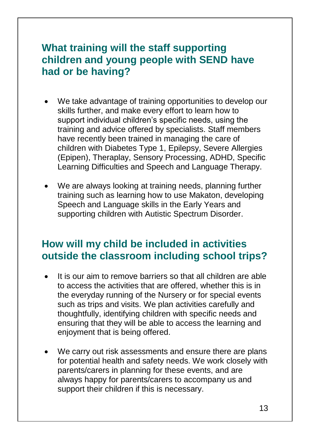# **What training will the staff supporting children and young people with SEND have had or be having?**

- We take advantage of training opportunities to develop our skills further, and make every effort to learn how to support individual children's specific needs, using the training and advice offered by specialists. Staff members have recently been trained in managing the care of children with Diabetes Type 1, Epilepsy, Severe Allergies (Epipen), Theraplay, Sensory Processing, ADHD, Specific Learning Difficulties and Speech and Language Therapy.
- We are always looking at training needs, planning further training such as learning how to use Makaton, developing Speech and Language skills in the Early Years and supporting children with Autistic Spectrum Disorder.

#### **How will my child be included in activities outside the classroom including school trips?**

- It is our aim to remove barriers so that all children are able to access the activities that are offered, whether this is in the everyday running of the Nursery or for special events such as trips and visits. We plan activities carefully and thoughtfully, identifying children with specific needs and ensuring that they will be able to access the learning and enjoyment that is being offered.
- We carry out risk assessments and ensure there are plans for potential health and safety needs. We work closely with parents/carers in planning for these events, and are always happy for parents/carers to accompany us and support their children if this is necessary.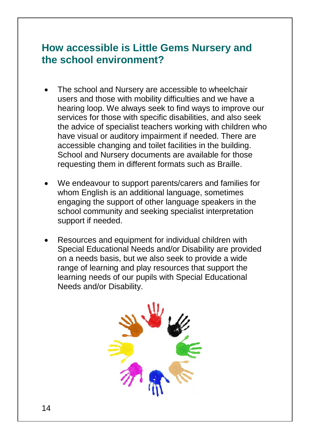#### **How accessible is Little Gems Nursery and the school environment?**

- The school and Nursery are accessible to wheelchair users and those with mobility difficulties and we have a hearing loop. We always seek to find ways to improve our services for those with specific disabilities, and also seek the advice of specialist teachers working with children who have visual or auditory impairment if needed. There are accessible changing and toilet facilities in the building. School and Nursery documents are available for those requesting them in different formats such as Braille.
- We endeavour to support parents/carers and families for whom English is an additional language, sometimes engaging the support of other language speakers in the school community and seeking specialist interpretation support if needed.
- Resources and equipment for individual children with Special Educational Needs and/or Disability are provided on a needs basis, but we also seek to provide a wide range of learning and play resources that support the learning needs of our pupils with Special Educational Needs and/or Disability.

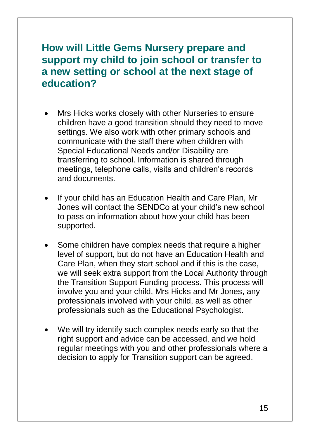# **How will Little Gems Nursery prepare and support my child to join school or transfer to a new setting or school at the next stage of education?**

- Mrs Hicks works closely with other Nurseries to ensure children have a good transition should they need to move settings. We also work with other primary schools and communicate with the staff there when children with Special Educational Needs and/or Disability are transferring to school. Information is shared through meetings, telephone calls, visits and children's records and documents.
- If your child has an Education Health and Care Plan, Mr Jones will contact the SENDCo at your child's new school to pass on information about how your child has been supported.
- Some children have complex needs that require a higher level of support, but do not have an Education Health and Care Plan, when they start school and if this is the case, we will seek extra support from the Local Authority through the Transition Support Funding process. This process will involve you and your child, Mrs Hicks and Mr Jones, any professionals involved with your child, as well as other professionals such as the Educational Psychologist.
- We will try identify such complex needs early so that the right support and advice can be accessed, and we hold regular meetings with you and other professionals where a decision to apply for Transition support can be agreed.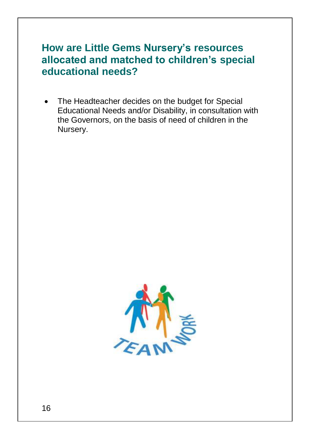### **How are Little Gems Nursery's resources allocated and matched to children's special educational needs?**

 The Headteacher decides on the budget for Special Educational Needs and/or Disability, in consultation with the Governors, on the basis of need of children in the Nursery.

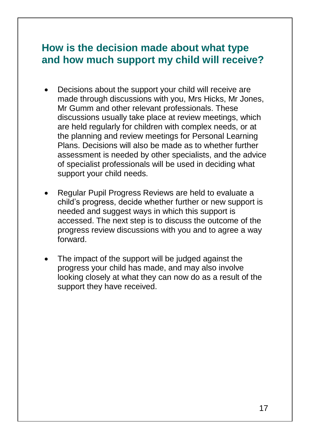#### **How is the decision made about what type and how much support my child will receive?**

- Decisions about the support your child will receive are made through discussions with you, Mrs Hicks, Mr Jones, Mr Gumm and other relevant professionals. These discussions usually take place at review meetings, which are held regularly for children with complex needs, or at the planning and review meetings for Personal Learning Plans. Decisions will also be made as to whether further assessment is needed by other specialists, and the advice of specialist professionals will be used in deciding what support your child needs.
- Regular Pupil Progress Reviews are held to evaluate a child's progress, decide whether further or new support is needed and suggest ways in which this support is accessed. The next step is to discuss the outcome of the progress review discussions with you and to agree a way forward.
- The impact of the support will be judged against the progress your child has made, and may also involve looking closely at what they can now do as a result of the support they have received.